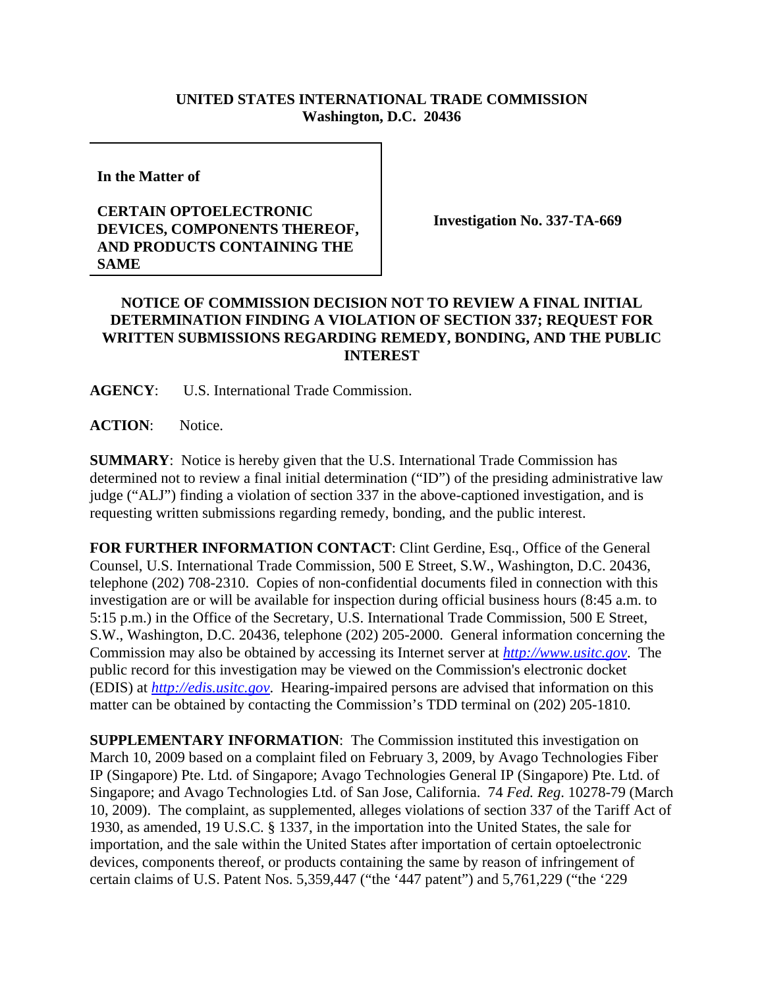## **UNITED STATES INTERNATIONAL TRADE COMMISSION Washington, D.C. 20436**

**In the Matter of** 

## **CERTAIN OPTOELECTRONIC DEVICES, COMPONENTS THEREOF, AND PRODUCTS CONTAINING THE SAME**

**Investigation No. 337-TA-669**

## **NOTICE OF COMMISSION DECISION NOT TO REVIEW A FINAL INITIAL DETERMINATION FINDING A VIOLATION OF SECTION 337; REQUEST FOR WRITTEN SUBMISSIONS REGARDING REMEDY, BONDING, AND THE PUBLIC INTEREST**

**AGENCY**: U.S. International Trade Commission.

**ACTION**: Notice.

**SUMMARY**: Notice is hereby given that the U.S. International Trade Commission has determined not to review a final initial determination ("ID") of the presiding administrative law judge ("ALJ") finding a violation of section 337 in the above-captioned investigation, and is requesting written submissions regarding remedy, bonding, and the public interest.

**FOR FURTHER INFORMATION CONTACT**: Clint Gerdine, Esq., Office of the General Counsel, U.S. International Trade Commission, 500 E Street, S.W., Washington, D.C. 20436, telephone (202) 708-2310. Copies of non-confidential documents filed in connection with this investigation are or will be available for inspection during official business hours (8:45 a.m. to 5:15 p.m.) in the Office of the Secretary, U.S. International Trade Commission, 500 E Street, S.W., Washington, D.C. 20436, telephone (202) 205-2000. General information concerning the Commission may also be obtained by accessing its Internet server at *http://www.usitc.gov*. The public record for this investigation may be viewed on the Commission's electronic docket (EDIS) at *http://edis.usitc.gov*. Hearing-impaired persons are advised that information on this matter can be obtained by contacting the Commission's TDD terminal on (202) 205-1810.

**SUPPLEMENTARY INFORMATION:** The Commission instituted this investigation on March 10, 2009 based on a complaint filed on February 3, 2009, by Avago Technologies Fiber IP (Singapore) Pte. Ltd. of Singapore; Avago Technologies General IP (Singapore) Pte. Ltd. of Singapore; and Avago Technologies Ltd. of San Jose, California. 74 *Fed. Reg*. 10278-79 (March 10, 2009). The complaint, as supplemented, alleges violations of section 337 of the Tariff Act of 1930, as amended, 19 U.S.C. § 1337, in the importation into the United States, the sale for importation, and the sale within the United States after importation of certain optoelectronic devices, components thereof, or products containing the same by reason of infringement of certain claims of U.S. Patent Nos. 5,359,447 ("the '447 patent") and 5,761,229 ("the '229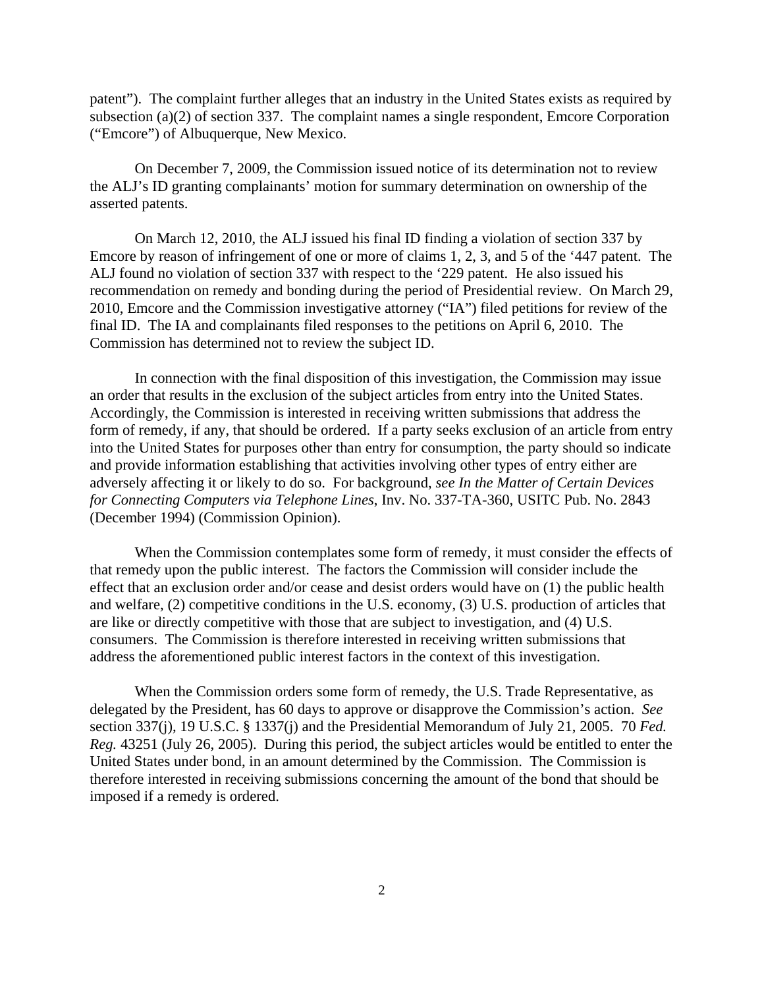patent"). The complaint further alleges that an industry in the United States exists as required by subsection (a)(2) of section 337. The complaint names a single respondent, Emcore Corporation ("Emcore") of Albuquerque, New Mexico.

 On December 7, 2009, the Commission issued notice of its determination not to review the ALJ's ID granting complainants' motion for summary determination on ownership of the asserted patents.

On March 12, 2010, the ALJ issued his final ID finding a violation of section 337 by Emcore by reason of infringement of one or more of claims 1, 2, 3, and 5 of the '447 patent. The ALJ found no violation of section 337 with respect to the '229 patent. He also issued his recommendation on remedy and bonding during the period of Presidential review. On March 29, 2010, Emcore and the Commission investigative attorney ("IA") filed petitions for review of the final ID. The IA and complainants filed responses to the petitions on April 6, 2010. The Commission has determined not to review the subject ID.

In connection with the final disposition of this investigation, the Commission may issue an order that results in the exclusion of the subject articles from entry into the United States. Accordingly, the Commission is interested in receiving written submissions that address the form of remedy, if any, that should be ordered. If a party seeks exclusion of an article from entry into the United States for purposes other than entry for consumption, the party should so indicate and provide information establishing that activities involving other types of entry either are adversely affecting it or likely to do so. For background, *see In the Matter of Certain Devices for Connecting Computers via Telephone Lines*, Inv. No. 337-TA-360, USITC Pub. No. 2843 (December 1994) (Commission Opinion).

When the Commission contemplates some form of remedy, it must consider the effects of that remedy upon the public interest. The factors the Commission will consider include the effect that an exclusion order and/or cease and desist orders would have on (1) the public health and welfare, (2) competitive conditions in the U.S. economy, (3) U.S. production of articles that are like or directly competitive with those that are subject to investigation, and (4) U.S. consumers. The Commission is therefore interested in receiving written submissions that address the aforementioned public interest factors in the context of this investigation.

When the Commission orders some form of remedy, the U.S. Trade Representative, as delegated by the President, has 60 days to approve or disapprove the Commission's action. *See* section 337(j), 19 U.S.C. § 1337(j) and the Presidential Memorandum of July 21, 2005. 70 *Fed. Reg.* 43251 (July 26, 2005). During this period, the subject articles would be entitled to enter the United States under bond, in an amount determined by the Commission. The Commission is therefore interested in receiving submissions concerning the amount of the bond that should be imposed if a remedy is ordered.